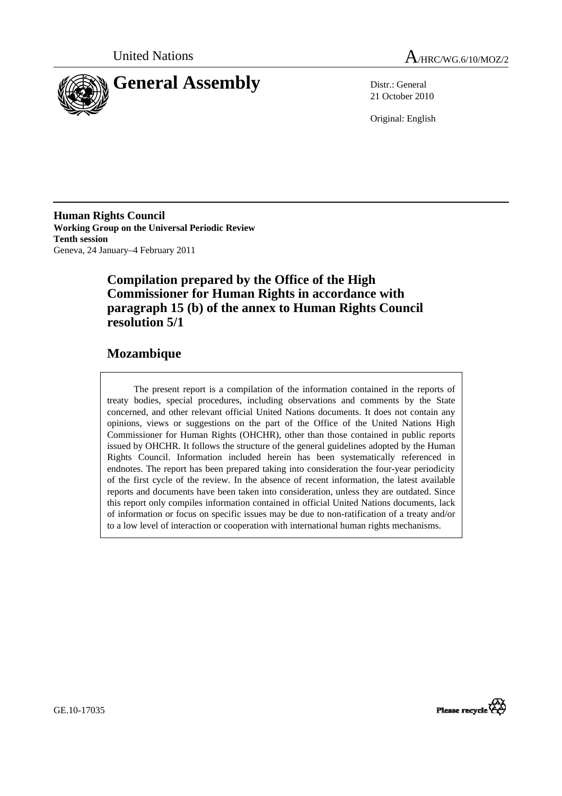



21 October 2010

Original: English

**Human Rights Council Working Group on the Universal Periodic Review Tenth session**  Geneva, 24 January–4 February 2011

# **Compilation prepared by the Office of the High Commissioner for Human Rights in accordance with paragraph 15 (b) of the annex to Human Rights Council resolution 5/1**

# **Mozambique**

The present report is a compilation of the information contained in the reports of treaty bodies, special procedures, including observations and comments by the State concerned, and other relevant official United Nations documents. It does not contain any opinions, views or suggestions on the part of the Office of the United Nations High Commissioner for Human Rights (OHCHR), other than those contained in public reports issued by OHCHR. It follows the structure of the general guidelines adopted by the Human Rights Council. Information included herein has been systematically referenced in endnotes. The report has been prepared taking into consideration the four-year periodicity of the first cycle of the review. In the absence of recent information, the latest available reports and documents have been taken into consideration, unless they are outdated. Since this report only compiles information contained in official United Nations documents, lack of information or focus on specific issues may be due to non-ratification of a treaty and/or to a low level of interaction or cooperation with international human rights mechanisms.



GE.10-17035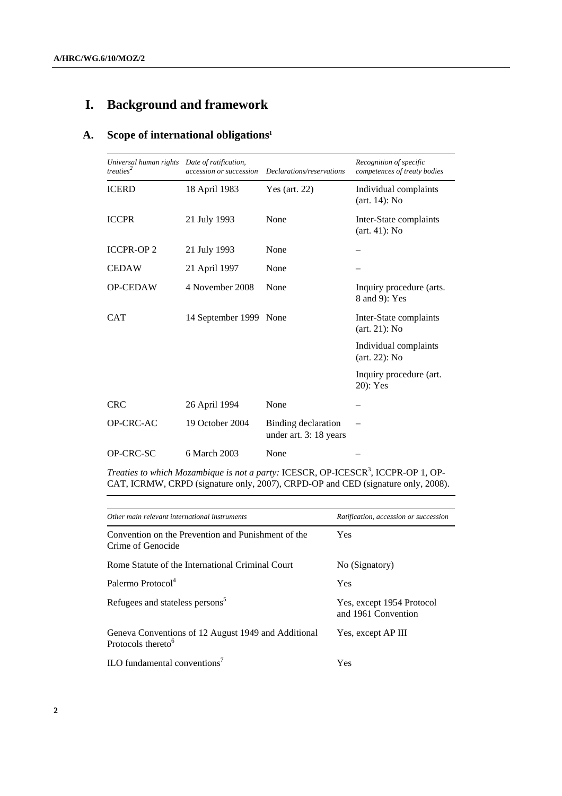# **I. Background and framework**

# **A. Scope of international obligations1**

| Universal human rights<br>treaties <sup>2</sup> | Date of ratification,<br>accession or succession | Declarations/reservations                     | Recognition of specific<br>competences of treaty bodies |
|-------------------------------------------------|--------------------------------------------------|-----------------------------------------------|---------------------------------------------------------|
| <b>ICERD</b>                                    | 18 April 1983                                    | Yes (art. $22$ )                              | Individual complaints<br>$(art. 14)$ : No               |
| <b>ICCPR</b>                                    | 21 July 1993                                     | None                                          | Inter-State complaints<br>$(art. 41)$ : No              |
| <b>ICCPR-OP2</b>                                | 21 July 1993                                     | None                                          |                                                         |
| <b>CEDAW</b>                                    | 21 April 1997                                    | None                                          |                                                         |
| <b>OP-CEDAW</b>                                 | 4 November 2008                                  | None                                          | Inquiry procedure (arts.<br>8 and 9): Yes               |
| <b>CAT</b>                                      | 14 September 1999 None                           |                                               | Inter-State complaints<br>$(\text{art. } 21)$ : No      |
|                                                 |                                                  |                                               | Individual complaints<br>$(art. 22)$ : No               |
|                                                 |                                                  |                                               | Inquiry procedure (art.<br>20): Yes                     |
| <b>CRC</b>                                      | 26 April 1994                                    | None                                          |                                                         |
| OP-CRC-AC                                       | 19 October 2004                                  | Binding declaration<br>under art. 3: 18 years |                                                         |
| OP-CRC-SC                                       | 6 March 2003                                     | None                                          |                                                         |

Treaties to which Mozambique is not a party: ICESCR, OP-ICESCR<sup>3</sup>, ICCPR-OP 1, OP-CAT, ICRMW, CRPD (signature only, 2007), CRPD-OP and CED (signature only, 2008).

| Other main relevant international instruments                                         | Ratification, accession or succession            |
|---------------------------------------------------------------------------------------|--------------------------------------------------|
| Convention on the Prevention and Punishment of the<br>Crime of Genocide               | <b>Yes</b>                                       |
| Rome Statute of the International Criminal Court                                      | No (Signatory)                                   |
| Palermo Protocol <sup>4</sup>                                                         | <b>Yes</b>                                       |
| Refugees and stateless persons <sup>5</sup>                                           | Yes, except 1954 Protocol<br>and 1961 Convention |
| Geneva Conventions of 12 August 1949 and Additional<br>Protocols thereto <sup>6</sup> | Yes, except AP III                               |
| ILO fundamental conventions <sup>7</sup>                                              | Yes                                              |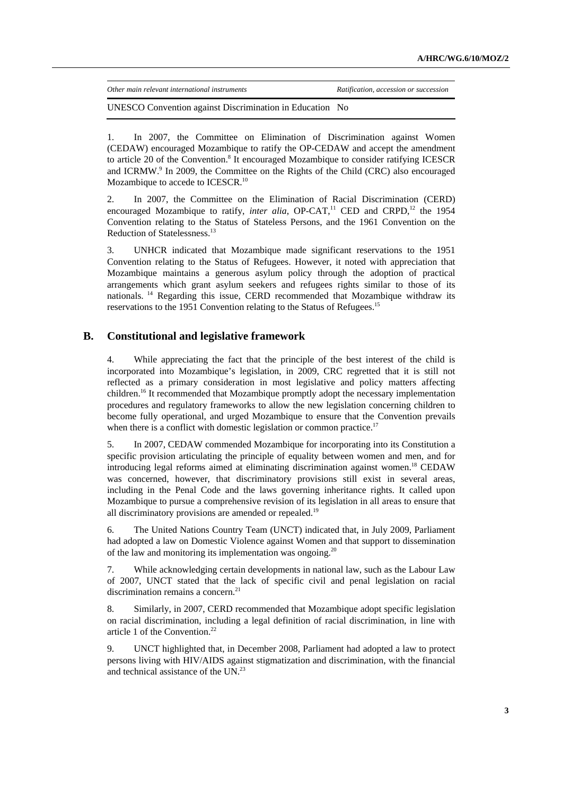| Other main relevant international instruments            | Ratification, accession or succession |
|----------------------------------------------------------|---------------------------------------|
| UNESCO Convention against Discrimination in Education No |                                       |

1. In 2007, the Committee on Elimination of Discrimination against Women (CEDAW) encouraged Mozambique to ratify the OP-CEDAW and accept the amendment to article 20 of the Convention.<sup>8</sup> It encouraged Mozambique to consider ratifying ICESCR and ICRMW.<sup>9</sup> In 2009, the Committee on the Rights of the Child (CRC) also encouraged Mozambique to accede to ICESCR.<sup>10</sup>

2. In 2007, the Committee on the Elimination of Racial Discrimination (CERD) encouraged Mozambique to ratify, *inter alia*, OP-CAT,<sup>11</sup> CED and CRPD,<sup>12</sup> the 1954 Convention relating to the Status of Stateless Persons, and the 1961 Convention on the Reduction of Statelessness.<sup>13</sup>

3. UNHCR indicated that Mozambique made significant reservations to the 1951 Convention relating to the Status of Refugees. However, it noted with appreciation that Mozambique maintains a generous asylum policy through the adoption of practical arrangements which grant asylum seekers and refugees rights similar to those of its nationals. 14 Regarding this issue, CERD recommended that Mozambique withdraw its reservations to the 1951 Convention relating to the Status of Refugees.<sup>15</sup>

## **B. Constitutional and legislative framework**

4. While appreciating the fact that the principle of the best interest of the child is incorporated into Mozambique's legislation, in 2009, CRC regretted that it is still not reflected as a primary consideration in most legislative and policy matters affecting children.16 It recommended that Mozambique promptly adopt the necessary implementation procedures and regulatory frameworks to allow the new legislation concerning children to become fully operational, and urged Mozambique to ensure that the Convention prevails when there is a conflict with domestic legislation or common practice.<sup>17</sup>

5. In 2007, CEDAW commended Mozambique for incorporating into its Constitution a specific provision articulating the principle of equality between women and men, and for introducing legal reforms aimed at eliminating discrimination against women.<sup>18</sup> CEDAW was concerned, however, that discriminatory provisions still exist in several areas, including in the Penal Code and the laws governing inheritance rights. It called upon Mozambique to pursue a comprehensive revision of its legislation in all areas to ensure that all discriminatory provisions are amended or repealed.<sup>19</sup>

6. The United Nations Country Team (UNCT) indicated that, in July 2009, Parliament had adopted a law on Domestic Violence against Women and that support to dissemination of the law and monitoring its implementation was ongoing. $20$ 

7. While acknowledging certain developments in national law, such as the Labour Law of 2007, UNCT stated that the lack of specific civil and penal legislation on racial discrimination remains a concern.<sup>21</sup>

8. Similarly, in 2007, CERD recommended that Mozambique adopt specific legislation on racial discrimination, including a legal definition of racial discrimination, in line with article 1 of the Convention.<sup>22</sup>

9. UNCT highlighted that, in December 2008, Parliament had adopted a law to protect persons living with HIV/AIDS against stigmatization and discrimination, with the financial and technical assistance of the UN.<sup>23</sup>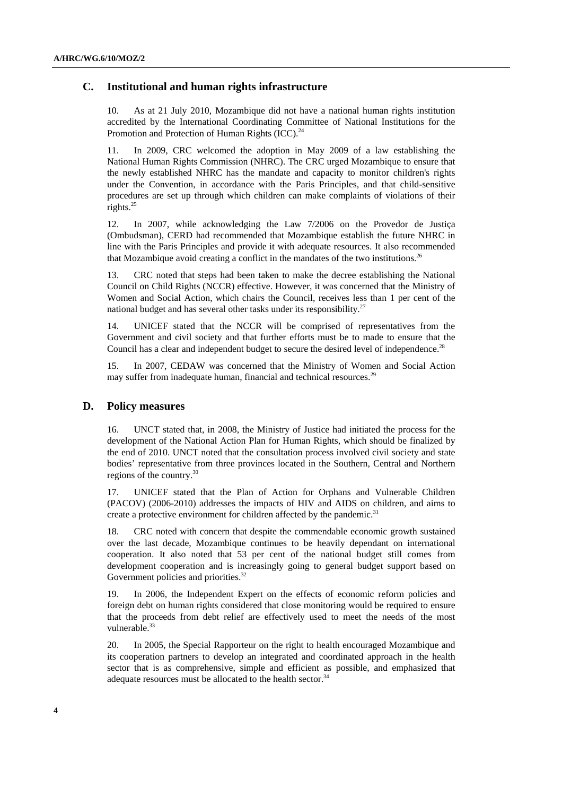## **C. Institutional and human rights infrastructure**

10. As at 21 July 2010, Mozambique did not have a national human rights institution accredited by the International Coordinating Committee of National Institutions for the Promotion and Protection of Human Rights (ICC).<sup>24</sup>

11. In 2009, CRC welcomed the adoption in May 2009 of a law establishing the National Human Rights Commission (NHRC). The CRC urged Mozambique to ensure that the newly established NHRC has the mandate and capacity to monitor children's rights under the Convention, in accordance with the Paris Principles, and that child-sensitive procedures are set up through which children can make complaints of violations of their rights.25

12. In 2007, while acknowledging the Law 7/2006 on the Provedor de Justiça (Ombudsman), CERD had recommended that Mozambique establish the future NHRC in line with the Paris Principles and provide it with adequate resources. It also recommended that Mozambique avoid creating a conflict in the mandates of the two institutions.<sup>26</sup>

13. CRC noted that steps had been taken to make the decree establishing the National Council on Child Rights (NCCR) effective. However, it was concerned that the Ministry of Women and Social Action, which chairs the Council, receives less than 1 per cent of the national budget and has several other tasks under its responsibility.<sup>27</sup>

14. UNICEF stated that the NCCR will be comprised of representatives from the Government and civil society and that further efforts must be to made to ensure that the Council has a clear and independent budget to secure the desired level of independence.<sup>28</sup>

15. In 2007, CEDAW was concerned that the Ministry of Women and Social Action may suffer from inadequate human, financial and technical resources.<sup>29</sup>

#### **D. Policy measures**

16. UNCT stated that, in 2008, the Ministry of Justice had initiated the process for the development of the National Action Plan for Human Rights, which should be finalized by the end of 2010. UNCT noted that the consultation process involved civil society and state bodies' representative from three provinces located in the Southern, Central and Northern regions of the country.30

17. UNICEF stated that the Plan of Action for Orphans and Vulnerable Children (PACOV) (2006-2010) addresses the impacts of HIV and AIDS on children, and aims to create a protective environment for children affected by the pandemic.<sup>31</sup>

18. CRC noted with concern that despite the commendable economic growth sustained over the last decade, Mozambique continues to be heavily dependant on international cooperation. It also noted that 53 per cent of the national budget still comes from development cooperation and is increasingly going to general budget support based on Government policies and priorities.<sup>32</sup>

19. In 2006, the Independent Expert on the effects of economic reform policies and foreign debt on human rights considered that close monitoring would be required to ensure that the proceeds from debt relief are effectively used to meet the needs of the most vulnerable.<sup>33</sup>

20. In 2005, the Special Rapporteur on the right to health encouraged Mozambique and its cooperation partners to develop an integrated and coordinated approach in the health sector that is as comprehensive, simple and efficient as possible, and emphasized that adequate resources must be allocated to the health sector.<sup>34</sup>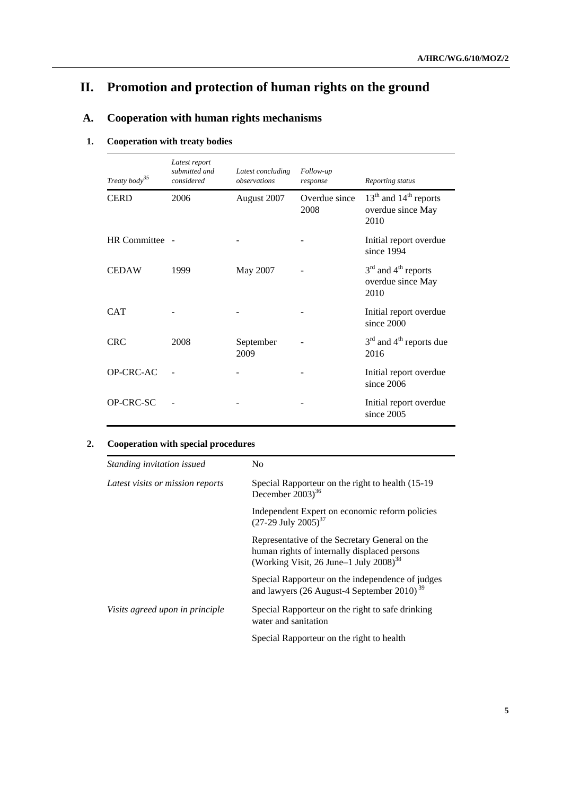# **II. Promotion and protection of human rights on the ground**

# **A. Cooperation with human rights mechanisms**

## **1. Cooperation with treaty bodies**

| Treaty $body^{35}$ | Latest report<br>submitted and<br>considered | Latest concluding<br>observations | Follow-up<br>response | Reporting status                                       |
|--------------------|----------------------------------------------|-----------------------------------|-----------------------|--------------------------------------------------------|
| <b>CERD</b>        | 2006                                         | August 2007                       | Overdue since<br>2008 | $13th$ and $14th$ reports<br>overdue since May<br>2010 |
| HR Committee -     |                                              |                                   |                       | Initial report overdue<br>since 1994                   |
| <b>CEDAW</b>       | 1999                                         | May 2007                          |                       | $3rd$ and $4th$ reports<br>overdue since May<br>2010   |
| <b>CAT</b>         |                                              |                                   |                       | Initial report overdue<br>since 2000                   |
| <b>CRC</b>         | 2008                                         | September<br>2009                 |                       | $3rd$ and $4th$ reports due<br>2016                    |
| OP-CRC-AC          |                                              |                                   |                       | Initial report overdue<br>since 2006                   |
| OP-CRC-SC          |                                              |                                   |                       | Initial report overdue<br>since 2005                   |

## **2. Cooperation with special procedures**

| Standing invitation issued       | N <sub>0</sub>                                                                                                                                        |
|----------------------------------|-------------------------------------------------------------------------------------------------------------------------------------------------------|
| Latest visits or mission reports | Special Rapporteur on the right to health (15-19)<br>December $2003$ <sup>36</sup>                                                                    |
|                                  | Independent Expert on economic reform policies<br>$(27-29$ July $2005)^{37}$                                                                          |
|                                  | Representative of the Secretary General on the<br>human rights of internally displaced persons<br>(Working Visit, 26 June -1 July 2008) <sup>38</sup> |
|                                  | Special Rapporteur on the independence of judges<br>and lawyers (26 August-4 September 2010) <sup>39</sup>                                            |
| Visits agreed upon in principle  | Special Rapporteur on the right to safe drinking<br>water and sanitation                                                                              |
|                                  | Special Rapporteur on the right to health                                                                                                             |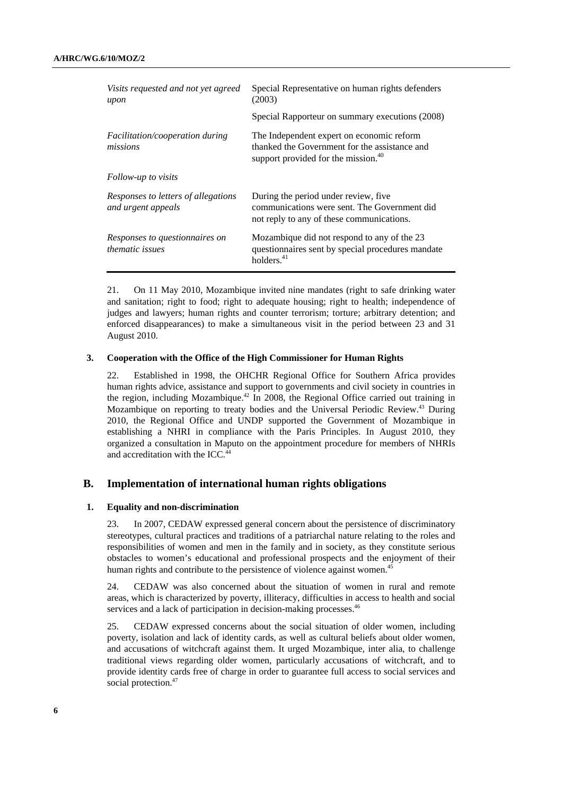| Visits requested and not yet agreed<br>upon               | Special Representative on human rights defenders<br>(2003)                                                                                    |
|-----------------------------------------------------------|-----------------------------------------------------------------------------------------------------------------------------------------------|
|                                                           | Special Rapporteur on summary executions (2008)                                                                                               |
| <i>Facilitation/cooperation during</i><br>missions        | The Independent expert on economic reform<br>thanked the Government for the assistance and<br>support provided for the mission. <sup>40</sup> |
| Follow-up to visits                                       |                                                                                                                                               |
| Responses to letters of allegations<br>and urgent appeals | During the period under review, five.<br>communications were sent. The Government did<br>not reply to any of these communications.            |
| Responses to questionnaires on<br><i>thematic issues</i>  | Mozambique did not respond to any of the 23<br>questionnaires sent by special procedures mandate<br>holders. <sup>41</sup>                    |

21. On 11 May 2010, Mozambique invited nine mandates (right to safe drinking water and sanitation; right to food; right to adequate housing; right to health; independence of judges and lawyers; human rights and counter terrorism; torture; arbitrary detention; and enforced disappearances) to make a simultaneous visit in the period between 23 and 31 August 2010.

#### **3. Cooperation with the Office of the High Commissioner for Human Rights**

22. Established in 1998, the OHCHR Regional Office for Southern Africa provides human rights advice, assistance and support to governments and civil society in countries in the region, including Mozambique.<sup>42</sup> In 2008, the Regional Office carried out training in Mozambique on reporting to treaty bodies and the Universal Periodic Review.<sup>43</sup> During 2010, the Regional Office and UNDP supported the Government of Mozambique in establishing a NHRI in compliance with the Paris Principles. In August 2010, they organized a consultation in Maputo on the appointment procedure for members of NHRIs and accreditation with the ICC.<sup>44</sup>

### **B. Implementation of international human rights obligations**

#### **1. Equality and non-discrimination**

23. In 2007, CEDAW expressed general concern about the persistence of discriminatory stereotypes, cultural practices and traditions of a patriarchal nature relating to the roles and responsibilities of women and men in the family and in society, as they constitute serious obstacles to women's educational and professional prospects and the enjoyment of their human rights and contribute to the persistence of violence against women.<sup>45</sup>

24. CEDAW was also concerned about the situation of women in rural and remote areas, which is characterized by poverty, illiteracy, difficulties in access to health and social services and a lack of participation in decision-making processes.<sup>46</sup>

25. CEDAW expressed concerns about the social situation of older women, including poverty, isolation and lack of identity cards, as well as cultural beliefs about older women, and accusations of witchcraft against them. It urged Mozambique, inter alia, to challenge traditional views regarding older women, particularly accusations of witchcraft, and to provide identity cards free of charge in order to guarantee full access to social services and social protection.<sup>47</sup>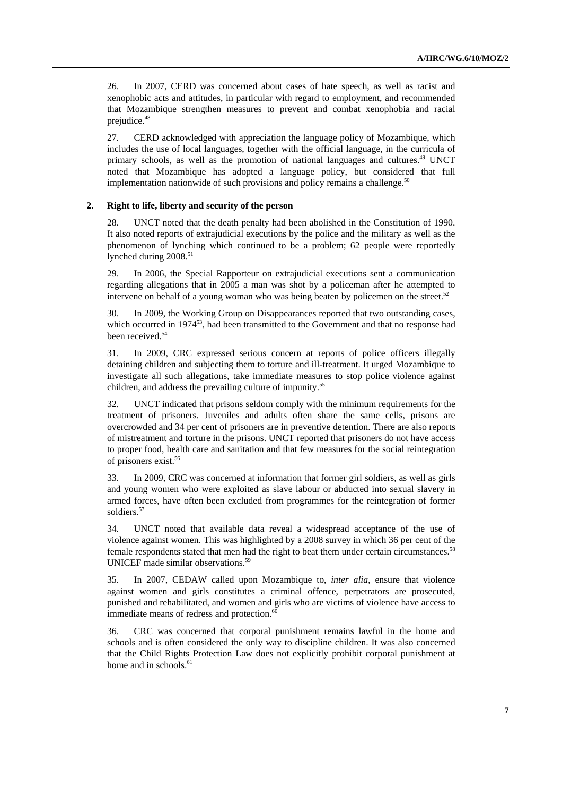26. In 2007, CERD was concerned about cases of hate speech, as well as racist and xenophobic acts and attitudes, in particular with regard to employment, and recommended that Mozambique strengthen measures to prevent and combat xenophobia and racial prejudice.<sup>48</sup>

27. CERD acknowledged with appreciation the language policy of Mozambique, which includes the use of local languages, together with the official language, in the curricula of primary schools, as well as the promotion of national languages and cultures.<sup>49</sup> UNCT noted that Mozambique has adopted a language policy, but considered that full implementation nationwide of such provisions and policy remains a challenge. $50$ 

#### **2. Right to life, liberty and security of the person**

28. UNCT noted that the death penalty had been abolished in the Constitution of 1990. It also noted reports of extrajudicial executions by the police and the military as well as the phenomenon of lynching which continued to be a problem; 62 people were reportedly lynched during 2008.<sup>51</sup>

29. In 2006, the Special Rapporteur on extrajudicial executions sent a communication regarding allegations that in 2005 a man was shot by a policeman after he attempted to intervene on behalf of a young woman who was being beaten by policemen on the street.<sup>52</sup>

30. In 2009, the Working Group on Disappearances reported that two outstanding cases, which occurred in 1974<sup>53</sup>, had been transmitted to the Government and that no response had been received.<sup>54</sup>

31. In 2009, CRC expressed serious concern at reports of police officers illegally detaining children and subjecting them to torture and ill-treatment. It urged Mozambique to investigate all such allegations, take immediate measures to stop police violence against children, and address the prevailing culture of impunity.<sup>55</sup>

32. UNCT indicated that prisons seldom comply with the minimum requirements for the treatment of prisoners. Juveniles and adults often share the same cells, prisons are overcrowded and 34 per cent of prisoners are in preventive detention. There are also reports of mistreatment and torture in the prisons. UNCT reported that prisoners do not have access to proper food, health care and sanitation and that few measures for the social reintegration of prisoners exist.56

33. In 2009, CRC was concerned at information that former girl soldiers, as well as girls and young women who were exploited as slave labour or abducted into sexual slavery in armed forces, have often been excluded from programmes for the reintegration of former soldiers.<sup>57</sup>

34. UNCT noted that available data reveal a widespread acceptance of the use of violence against women. This was highlighted by a 2008 survey in which 36 per cent of the female respondents stated that men had the right to beat them under certain circumstances.58 UNICEF made similar observations.<sup>59</sup>

35. In 2007, CEDAW called upon Mozambique to, *inter alia*, ensure that violence against women and girls constitutes a criminal offence, perpetrators are prosecuted, punished and rehabilitated, and women and girls who are victims of violence have access to immediate means of redress and protection.<sup>60</sup>

36. CRC was concerned that corporal punishment remains lawful in the home and schools and is often considered the only way to discipline children. It was also concerned that the Child Rights Protection Law does not explicitly prohibit corporal punishment at home and in schools.<sup>61</sup>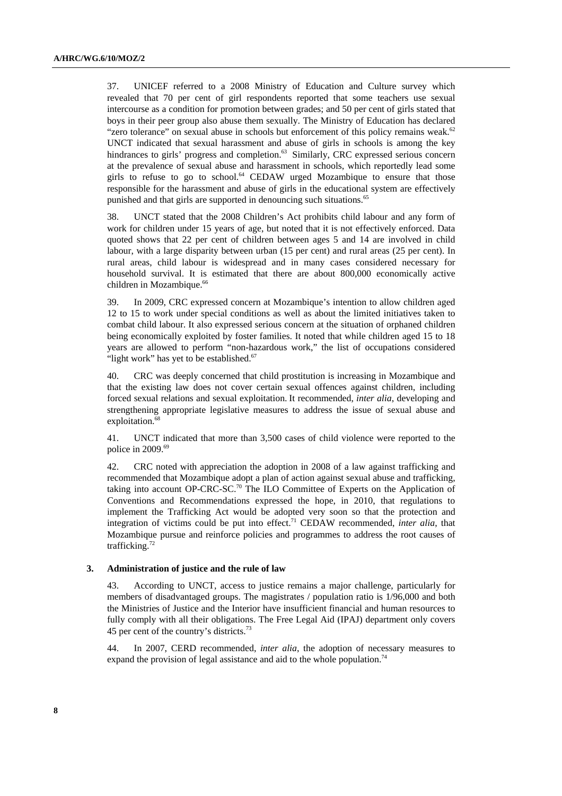37. UNICEF referred to a 2008 Ministry of Education and Culture survey which revealed that 70 per cent of girl respondents reported that some teachers use sexual intercourse as a condition for promotion between grades; and 50 per cent of girls stated that boys in their peer group also abuse them sexually. The Ministry of Education has declared "zero tolerance" on sexual abuse in schools but enforcement of this policy remains weak.<sup>62</sup> UNCT indicated that sexual harassment and abuse of girls in schools is among the key hindrances to girls' progress and completion.<sup>63</sup> Similarly, CRC expressed serious concern at the prevalence of sexual abuse and harassment in schools, which reportedly lead some girls to refuse to go to school. $64$  CEDAW urged Mozambique to ensure that those responsible for the harassment and abuse of girls in the educational system are effectively punished and that girls are supported in denouncing such situations.<sup>65</sup>

38. UNCT stated that the 2008 Children's Act prohibits child labour and any form of work for children under 15 years of age, but noted that it is not effectively enforced. Data quoted shows that 22 per cent of children between ages 5 and 14 are involved in child labour, with a large disparity between urban (15 per cent) and rural areas (25 per cent). In rural areas, child labour is widespread and in many cases considered necessary for household survival. It is estimated that there are about 800,000 economically active children in Mozambique.<sup>66</sup>

39. In 2009, CRC expressed concern at Mozambique's intention to allow children aged 12 to 15 to work under special conditions as well as about the limited initiatives taken to combat child labour. It also expressed serious concern at the situation of orphaned children being economically exploited by foster families. It noted that while children aged 15 to 18 years are allowed to perform "non-hazardous work," the list of occupations considered "light work" has yet to be established.<sup>67</sup>

40. CRC was deeply concerned that child prostitution is increasing in Mozambique and that the existing law does not cover certain sexual offences against children, including forced sexual relations and sexual exploitation. It recommended, *inter alia*, developing and strengthening appropriate legislative measures to address the issue of sexual abuse and exploitation.<sup>68</sup>

41. UNCT indicated that more than 3,500 cases of child violence were reported to the police in 2009.<sup>69</sup>

42. CRC noted with appreciation the adoption in 2008 of a law against trafficking and recommended that Mozambique adopt a plan of action against sexual abuse and trafficking, taking into account OP-CRC-SC.<sup>70</sup> The ILO Committee of Experts on the Application of Conventions and Recommendations expressed the hope, in 2010, that regulations to implement the Trafficking Act would be adopted very soon so that the protection and integration of victims could be put into effect.71 CEDAW recommended, *inter alia*, that Mozambique pursue and reinforce policies and programmes to address the root causes of trafficking.72

### **3. Administration of justice and the rule of law**

43. According to UNCT, access to justice remains a major challenge, particularly for members of disadvantaged groups. The magistrates / population ratio is 1/96,000 and both the Ministries of Justice and the Interior have insufficient financial and human resources to fully comply with all their obligations. The Free Legal Aid (IPAJ) department only covers 45 per cent of the country's districts.73

44. In 2007, CERD recommended, *inter alia*, the adoption of necessary measures to expand the provision of legal assistance and aid to the whole population.<sup>74</sup>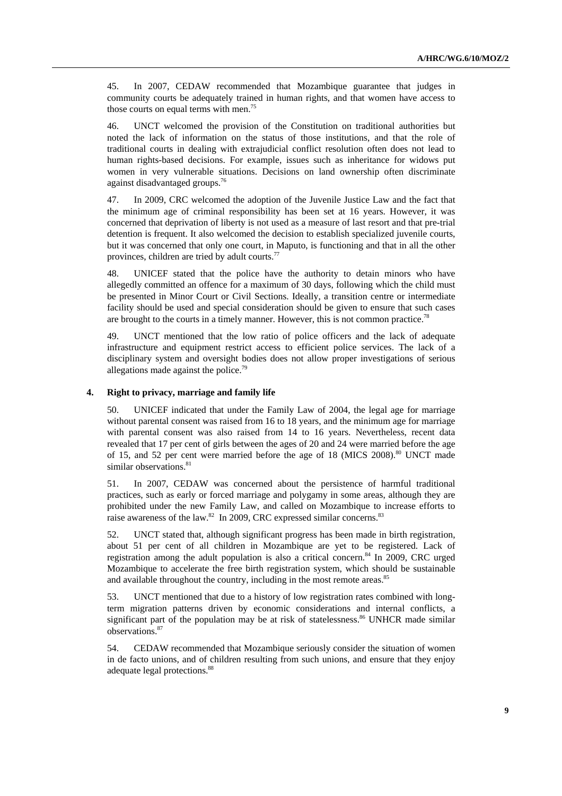45. In 2007, CEDAW recommended that Mozambique guarantee that judges in community courts be adequately trained in human rights, and that women have access to those courts on equal terms with men.<sup>75</sup>

46. UNCT welcomed the provision of the Constitution on traditional authorities but noted the lack of information on the status of those institutions, and that the role of traditional courts in dealing with extrajudicial conflict resolution often does not lead to human rights-based decisions. For example, issues such as inheritance for widows put women in very vulnerable situations. Decisions on land ownership often discriminate against disadvantaged groups.76

47. In 2009, CRC welcomed the adoption of the Juvenile Justice Law and the fact that the minimum age of criminal responsibility has been set at 16 years. However, it was concerned that deprivation of liberty is not used as a measure of last resort and that pre-trial detention is frequent. It also welcomed the decision to establish specialized juvenile courts, but it was concerned that only one court, in Maputo, is functioning and that in all the other provinces, children are tried by adult courts.<sup>77</sup>

48. UNICEF stated that the police have the authority to detain minors who have allegedly committed an offence for a maximum of 30 days, following which the child must be presented in Minor Court or Civil Sections. Ideally, a transition centre or intermediate facility should be used and special consideration should be given to ensure that such cases are brought to the courts in a timely manner. However, this is not common practice.<sup>78</sup>

49. UNCT mentioned that the low ratio of police officers and the lack of adequate infrastructure and equipment restrict access to efficient police services. The lack of a disciplinary system and oversight bodies does not allow proper investigations of serious allegations made against the police.79

#### **4. Right to privacy, marriage and family life**

50. UNICEF indicated that under the Family Law of 2004, the legal age for marriage without parental consent was raised from 16 to 18 years, and the minimum age for marriage with parental consent was also raised from 14 to 16 years. Nevertheless, recent data revealed that 17 per cent of girls between the ages of 20 and 24 were married before the age of 15, and 52 per cent were married before the age of 18 (MICS 2008).<sup>80</sup> UNCT made similar observations.<sup>81</sup>

51. In 2007, CEDAW was concerned about the persistence of harmful traditional practices, such as early or forced marriage and polygamy in some areas, although they are prohibited under the new Family Law, and called on Mozambique to increase efforts to raise awareness of the law.<sup>82</sup> In 2009, CRC expressed similar concerns.<sup>83</sup>

52. UNCT stated that, although significant progress has been made in birth registration, about 51 per cent of all children in Mozambique are yet to be registered. Lack of registration among the adult population is also a critical concern.84 In 2009, CRC urged Mozambique to accelerate the free birth registration system, which should be sustainable and available throughout the country, including in the most remote areas.<sup>85</sup>

53. UNCT mentioned that due to a history of low registration rates combined with longterm migration patterns driven by economic considerations and internal conflicts, a significant part of the population may be at risk of statelessness.<sup>86</sup> UNHCR made similar observations.87

54. CEDAW recommended that Mozambique seriously consider the situation of women in de facto unions, and of children resulting from such unions, and ensure that they enjoy adequate legal protections.<sup>88</sup>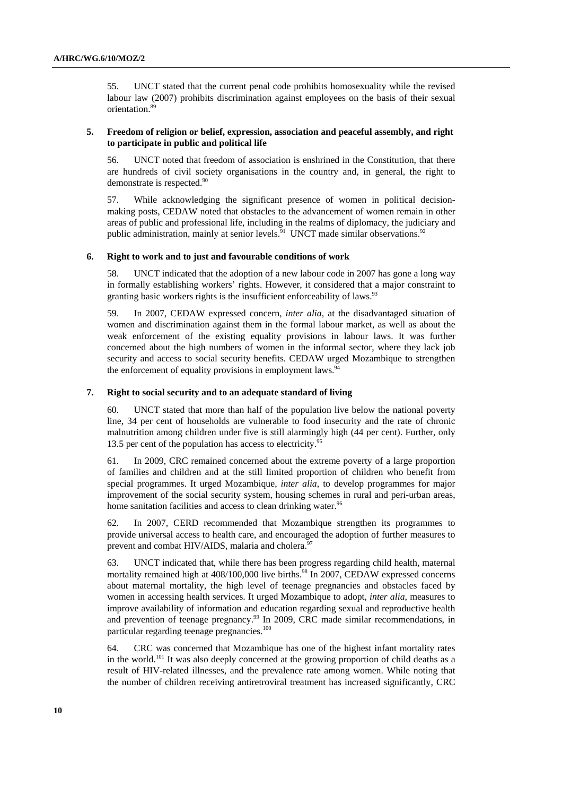55. UNCT stated that the current penal code prohibits homosexuality while the revised labour law (2007) prohibits discrimination against employees on the basis of their sexual orientation.89

#### **5. Freedom of religion or belief, expression, association and peaceful assembly, and right to participate in public and political life**

56. UNCT noted that freedom of association is enshrined in the Constitution, that there are hundreds of civil society organisations in the country and, in general, the right to demonstrate is respected.<sup>90</sup>

57. While acknowledging the significant presence of women in political decisionmaking posts, CEDAW noted that obstacles to the advancement of women remain in other areas of public and professional life, including in the realms of diplomacy, the judiciary and public administration, mainly at senior levels.<sup>91</sup> UNCT made similar observations.<sup>92</sup>

#### **6. Right to work and to just and favourable conditions of work**

58. UNCT indicated that the adoption of a new labour code in 2007 has gone a long way in formally establishing workers' rights. However, it considered that a major constraint to granting basic workers rights is the insufficient enforceability of laws.<sup>93</sup>

59. In 2007, CEDAW expressed concern, *inter alia*, at the disadvantaged situation of women and discrimination against them in the formal labour market, as well as about the weak enforcement of the existing equality provisions in labour laws. It was further concerned about the high numbers of women in the informal sector, where they lack job security and access to social security benefits. CEDAW urged Mozambique to strengthen the enforcement of equality provisions in employment laws.<sup>94</sup>

#### **7. Right to social security and to an adequate standard of living**

60. UNCT stated that more than half of the population live below the national poverty line, 34 per cent of households are vulnerable to food insecurity and the rate of chronic malnutrition among children under five is still alarmingly high (44 per cent). Further, only 13.5 per cent of the population has access to electricity.<sup>9</sup>

61. In 2009, CRC remained concerned about the extreme poverty of a large proportion of families and children and at the still limited proportion of children who benefit from special programmes. It urged Mozambique, *inter alia*, to develop programmes for major improvement of the social security system, housing schemes in rural and peri-urban areas, home sanitation facilities and access to clean drinking water.<sup>96</sup>

62. In 2007, CERD recommended that Mozambique strengthen its programmes to provide universal access to health care, and encouraged the adoption of further measures to prevent and combat HIV/AIDS, malaria and cholera.<sup>97</sup>

63. UNCT indicated that, while there has been progress regarding child health, maternal mortality remained high at 408/100,000 live births.<sup>98</sup> In 2007, CEDAW expressed concerns about maternal mortality, the high level of teenage pregnancies and obstacles faced by women in accessing health services. It urged Mozambique to adopt, *inter alia*, measures to improve availability of information and education regarding sexual and reproductive health and prevention of teenage pregnancy.<sup>99</sup> In 2009, CRC made similar recommendations, in particular regarding teenage pregnancies.<sup>100</sup>

64. CRC was concerned that Mozambique has one of the highest infant mortality rates in the world.101 It was also deeply concerned at the growing proportion of child deaths as a result of HIV-related illnesses, and the prevalence rate among women. While noting that the number of children receiving antiretroviral treatment has increased significantly, CRC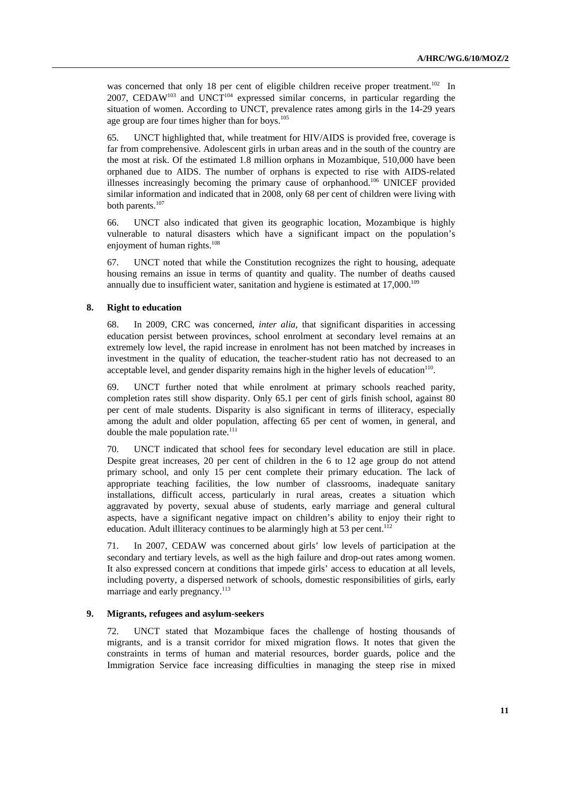was concerned that only 18 per cent of eligible children receive proper treatment.<sup>102</sup> In 2007, CEDAW<sup>103</sup> and UNCT<sup>104</sup> expressed similar concerns, in particular regarding the situation of women. According to UNCT, prevalence rates among girls in the 14-29 years age group are four times higher than for boys. $105$ 

65. UNCT highlighted that, while treatment for HIV/AIDS is provided free, coverage is far from comprehensive. Adolescent girls in urban areas and in the south of the country are the most at risk. Of the estimated 1.8 million orphans in Mozambique, 510,000 have been orphaned due to AIDS. The number of orphans is expected to rise with AIDS-related illnesses increasingly becoming the primary cause of orphanhood.106 UNICEF provided similar information and indicated that in 2008, only 68 per cent of children were living with both parents.107

66. UNCT also indicated that given its geographic location, Mozambique is highly vulnerable to natural disasters which have a significant impact on the population's enjoyment of human rights.<sup>108</sup>

67. UNCT noted that while the Constitution recognizes the right to housing, adequate housing remains an issue in terms of quantity and quality. The number of deaths caused annually due to insufficient water, sanitation and hygiene is estimated at  $17,000$ .<sup>109</sup>

#### **8. Right to education**

68. In 2009, CRC was concerned, *inter alia*, that significant disparities in accessing education persist between provinces, school enrolment at secondary level remains at an extremely low level, the rapid increase in enrolment has not been matched by increases in investment in the quality of education, the teacher-student ratio has not decreased to an acceptable level, and gender disparity remains high in the higher levels of education $110$ .

69. UNCT further noted that while enrolment at primary schools reached parity, completion rates still show disparity. Only 65.1 per cent of girls finish school, against 80 per cent of male students. Disparity is also significant in terms of illiteracy, especially among the adult and older population, affecting 65 per cent of women, in general, and double the male population rate. $111$ 

70. UNCT indicated that school fees for secondary level education are still in place. Despite great increases, 20 per cent of children in the 6 to 12 age group do not attend primary school, and only 15 per cent complete their primary education. The lack of appropriate teaching facilities, the low number of classrooms, inadequate sanitary installations, difficult access, particularly in rural areas, creates a situation which aggravated by poverty, sexual abuse of students, early marriage and general cultural aspects, have a significant negative impact on children's ability to enjoy their right to education. Adult illiteracy continues to be alarmingly high at 53 per cent.<sup>112</sup>

71. In 2007, CEDAW was concerned about girls' low levels of participation at the secondary and tertiary levels, as well as the high failure and drop-out rates among women. It also expressed concern at conditions that impede girls' access to education at all levels, including poverty, a dispersed network of schools, domestic responsibilities of girls, early marriage and early pregnancy.<sup>113</sup>

#### **9. Migrants, refugees and asylum-seekers**

72. UNCT stated that Mozambique faces the challenge of hosting thousands of migrants, and is a transit corridor for mixed migration flows. It notes that given the constraints in terms of human and material resources, border guards, police and the Immigration Service face increasing difficulties in managing the steep rise in mixed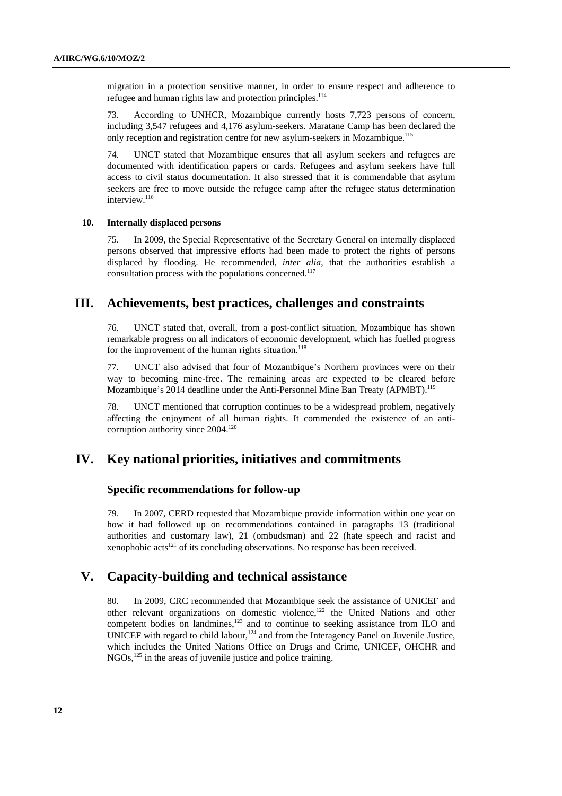migration in a protection sensitive manner, in order to ensure respect and adherence to refugee and human rights law and protection principles.<sup>114</sup>

73. According to UNHCR, Mozambique currently hosts 7,723 persons of concern, including 3,547 refugees and 4,176 asylum-seekers. Maratane Camp has been declared the only reception and registration centre for new asylum-seekers in Mozambique.115

74. UNCT stated that Mozambique ensures that all asylum seekers and refugees are documented with identification papers or cards. Refugees and asylum seekers have full access to civil status documentation. It also stressed that it is commendable that asylum seekers are free to move outside the refugee camp after the refugee status determination interview.<sup>116</sup>

#### **10. Internally displaced persons**

75. In 2009, the Special Representative of the Secretary General on internally displaced persons observed that impressive efforts had been made to protect the rights of persons displaced by flooding. He recommended, *inter alia*, that the authorities establish a consultation process with the populations concerned.<sup>117</sup>

# **III. Achievements, best practices, challenges and constraints**

76. UNCT stated that, overall, from a post-conflict situation, Mozambique has shown remarkable progress on all indicators of economic development, which has fuelled progress for the improvement of the human rights situation.<sup>118</sup>

77. UNCT also advised that four of Mozambique's Northern provinces were on their way to becoming mine-free. The remaining areas are expected to be cleared before Mozambique's 2014 deadline under the Anti-Personnel Mine Ban Treaty (APMBT).119

78. UNCT mentioned that corruption continues to be a widespread problem, negatively affecting the enjoyment of all human rights. It commended the existence of an anticorruption authority since 2004.<sup>120</sup>

## **IV. Key national priorities, initiatives and commitments**

#### **Specific recommendations for follow-up**

79. In 2007, CERD requested that Mozambique provide information within one year on how it had followed up on recommendations contained in paragraphs 13 (traditional authorities and customary law), 21 (ombudsman) and 22 (hate speech and racist and xenophobic  $\arctan(2^{121} \text{ of its concluding observations})$ . No response has been received.

# **V. Capacity-building and technical assistance**

80. In 2009, CRC recommended that Mozambique seek the assistance of UNICEF and other relevant organizations on domestic violence,122 the United Nations and other competent bodies on landmines,<sup>123</sup> and to continue to seeking assistance from ILO and UNICEF with regard to child labour,<sup>124</sup> and from the Interagency Panel on Juvenile Justice, which includes the United Nations Office on Drugs and Crime, UNICEF, OHCHR and NGOs,<sup>125</sup> in the areas of juvenile justice and police training.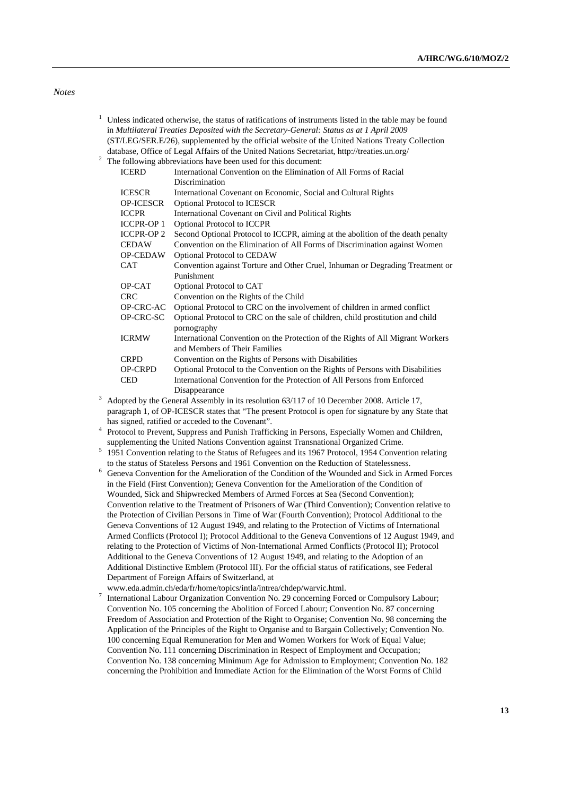*Notes* 

- <sup>1</sup> Unless indicated otherwise, the status of ratifications of instruments listed in the table may be found in *Multilateral Treaties Deposited with the Secretary-General: Status as at 1 April 2009* (ST/LEG/SER.E/26), supplemented by the official website of the United Nations Treaty Collection database, Office of Legal Affairs of the United Nations Secretariat, http://treaties.un.org/ 2
- <sup>2</sup> The following abbreviations have been used for this document:

| <b>ICERD</b>      | International Convention on the Elimination of All Forms of Racial                        |
|-------------------|-------------------------------------------------------------------------------------------|
|                   | Discrimination                                                                            |
| <b>ICESCR</b>     | International Covenant on Economic, Social and Cultural Rights                            |
| <b>OP-ICESCR</b>  | <b>Optional Protocol to ICESCR</b>                                                        |
| <b>ICCPR</b>      | International Covenant on Civil and Political Rights                                      |
| <b>ICCPR-OP 1</b> | <b>Optional Protocol to ICCPR</b>                                                         |
| <b>ICCPR-OP 2</b> | Second Optional Protocol to ICCPR, aiming at the abolition of the death penalty           |
| <b>CEDAW</b>      | Convention on the Elimination of All Forms of Discrimination against Women                |
| <b>OP-CEDAW</b>   | Optional Protocol to CEDAW                                                                |
| <b>CAT</b>        | Convention against Torture and Other Cruel, Inhuman or Degrading Treatment or             |
|                   | Punishment                                                                                |
| OP-CAT            | Optional Protocol to CAT                                                                  |
| <b>CRC</b>        | Convention on the Rights of the Child                                                     |
| OP-CRC-AC         | Optional Protocol to CRC on the involvement of children in armed conflict                 |
| OP-CRC-SC         | Optional Protocol to CRC on the sale of children, child prostitution and child            |
|                   | pornography                                                                               |
| <b>ICRMW</b>      | International Convention on the Protection of the Rights of All Migrant Workers           |
|                   | and Members of Their Families                                                             |
| <b>CRPD</b>       | Convention on the Rights of Persons with Disabilities                                     |
| <b>OP-CRPD</b>    | Optional Protocol to the Convention on the Rights of Persons with Disabilities            |
| <b>CED</b>        | International Convention for the Protection of All Persons from Enforced                  |
|                   | Disappearance                                                                             |
|                   | Adopted by the General Assembly in its resolution 63/117 of 10 December 2008. Article 17, |

paragraph 1, of OP-ICESCR states that "The present Protocol is open for signature by any State that has signed, ratified or acceded to the Covenant".

- <sup>4</sup> Protocol to Prevent, Suppress and Punish Trafficking in Persons, Especially Women and Children, supplementing the United Nations Convention against Transnational Organized Crime. 5
- 1951 Convention relating to the Status of Refugees and its 1967 Protocol, 1954 Convention relating to the status of Stateless Persons and 1961 Convention on the Reduction of Statelessness.
- <sup>6</sup> Geneva Convention for the Amelioration of the Condition of the Wounded and Sick in Armed Forces in the Field (First Convention); Geneva Convention for the Amelioration of the Condition of Wounded, Sick and Shipwrecked Members of Armed Forces at Sea (Second Convention); Convention relative to the Treatment of Prisoners of War (Third Convention); Convention relative to the Protection of Civilian Persons in Time of War (Fourth Convention); Protocol Additional to the Geneva Conventions of 12 August 1949, and relating to the Protection of Victims of International Armed Conflicts (Protocol I); Protocol Additional to the Geneva Conventions of 12 August 1949, and relating to the Protection of Victims of Non-International Armed Conflicts (Protocol II); Protocol Additional to the Geneva Conventions of 12 August 1949, and relating to the Adoption of an Additional Distinctive Emblem (Protocol III). For the official status of ratifications, see Federal Department of Foreign Affairs of Switzerland, at
- www.eda.admin.ch/eda/fr/home/topics/intla/intrea/chdep/warvic.html.
- International Labour Organization Convention No. 29 concerning Forced or Compulsory Labour; Convention No. 105 concerning the Abolition of Forced Labour; Convention No. 87 concerning Freedom of Association and Protection of the Right to Organise; Convention No. 98 concerning the Application of the Principles of the Right to Organise and to Bargain Collectively; Convention No. 100 concerning Equal Remuneration for Men and Women Workers for Work of Equal Value; Convention No. 111 concerning Discrimination in Respect of Employment and Occupation; Convention No. 138 concerning Minimum Age for Admission to Employment; Convention No. 182 concerning the Prohibition and Immediate Action for the Elimination of the Worst Forms of Child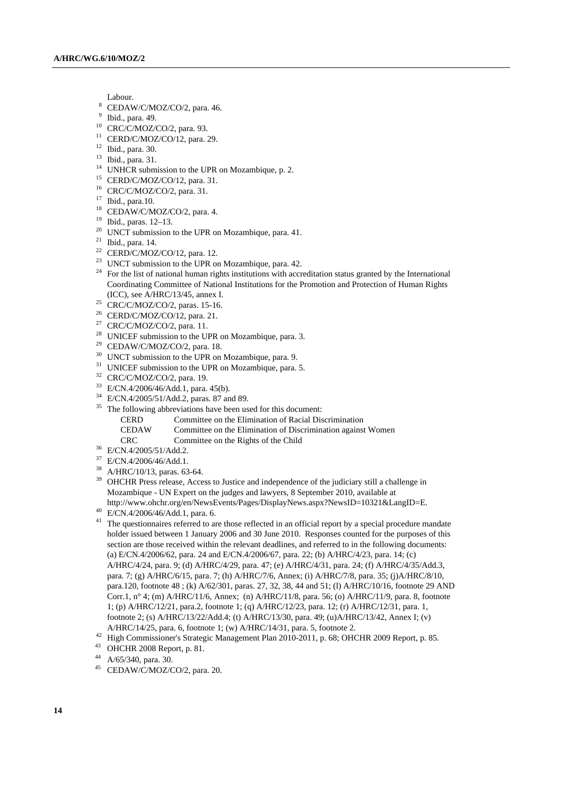- 
- Labour.<br>
<sup>8</sup> CEDAW/C/MOZ/CO/2, para. 46.<br>
<sup>9</sup> Ibid. para. 40.
- Ibid., para. 49.
- 10 CRC/C/MOZ/CO/2, para. 93.
- <sup>11</sup> CERD/C/MOZ/CO/12, para. 29.
- 12 Ibid., para. 30.
- 13 Ibid., para. 31.
- <sup>14</sup> UNHCR submission to the UPR on Mozambique, p. 2.
- 15 CERD/C/MOZ/CO/12, para. 31.
- 16 CRC/C/MOZ/CO/2, para. 31.
- 17 Ibid., para.10.
- 18 CEDAW/C/MOZ/CO/2, para. 4.
- 19 Ibid., paras. 12–13.
- <sup>20</sup> UNCT submission to the UPR on Mozambique, para. 41.
- 21 Ibid., para. 14.
- $22$  CERD/C/MOZ/CO/12, para. 12.
- <sup>23</sup> UNCT submission to the UPR on Mozambique, para. 42.
- <sup>24</sup> For the list of national human rights institutions with accreditation status granted by the International Coordinating Committee of National Institutions for the Promotion and Protection of Human Rights
- (ICC), see A/HRC/13/45, annex I. 25 CRC/C/MOZ/CO/2, paras. 15-16.
- 26 CERD/C/MOZ/CO/12, para. 21.
- $27$  CRC/C/MOZ/CO/2, para. 11.
- <sup>28</sup> UNICEF submission to the UPR on Mozambique, para. 3.
- $29$  CEDAW/C/MOZ/CO/2, para. 18.
- <sup>30</sup> UNCT submission to the UPR on Mozambique, para. 9.
- <sup>31</sup> UNICEF submission to the UPR on Mozambique, para. 5.
- $32$  CRC/C/MOZ/CO/2, para. 19.
- 33 E/CN.4/2006/46/Add.1, para. 45(b).
- 34 E/CN.4/2005/51/Add.2, paras. 87 and 89.
- <sup>35</sup> The following abbreviations have been used for this document:
	- CERD Committee on the Elimination of Racial Discrimination
	- CEDAW Committee on the Elimination of Discrimination against Women
- CRC Committee on the Rights of the Child 36 E/CN.4/2005/51/Add.2.
- 
- 37 E/CN.4/2006/46/Add.1.
- 38 A/HRC/10/13, paras. 63-64.
- <sup>39</sup> OHCHR Press release, Access to Justice and independence of the judiciary still a challenge in Mozambique - UN Expert on the judges and lawyers, 8 September 2010, available at http://www.ohchr.org/en/NewsEvents/Pages/DisplayNews.aspx?NewsID=10321&LangID=E. 40 E/CN.4/2006/46/Add.1, para. 6.
- 
- <sup>41</sup> The questionnaires referred to are those reflected in an official report by a special procedure mandate holder issued between 1 January 2006 and 30 June 2010. Responses counted for the purposes of this section are those received within the relevant deadlines, and referred to in the following documents: (a) E/CN.4/2006/62, para. 24 and E/CN.4/2006/67, para. 22; (b) A/HRC/4/23, para. 14; (c) A/HRC/4/24, para. 9; (d) A/HRC/4/29, para. 47; (e) A/HRC/4/31, para. 24; (f) A/HRC/4/35/Add.3, para. 7; (g) A/HRC/6/15, para. 7; (h) A/HRC/7/6, Annex; (i) A/HRC/7/8, para. 35; (j)A/HRC/8/10, para.120, footnote 48 ; (k) A/62/301, paras. 27, 32, 38, 44 and 51; (l) A/HRC/10/16, footnote 29 AND Corr.1, n° 4; (m) A/HRC/11/6, Annex; (n) A/HRC/11/8, para. 56; (o) A/HRC/11/9, para. 8, footnote 1; (p) A/HRC/12/21, para.2, footnote 1; (q) A/HRC/12/23, para. 12; (r) A/HRC/12/31, para. 1, footnote 2; (s) A/HRC/13/22/Add.4; (t) A/HRC/13/30, para. 49; (u)A/HRC/13/42, Annex I; (v) A/HRC/14/25, para. 6, footnote 1; (w) A/HRC/14/31, para. 5, footnote 2.
- <sup>42</sup> High Commissioner's Strategic Management Plan 2010-2011, p. 68; OHCHR 2009 Report, p. 85. <br><sup>43</sup> OHCHR 2008 Report, p. 81.
- 
- A/65/340, para. 30.
- 45 CEDAW/C/MOZ/CO/2, para. 20.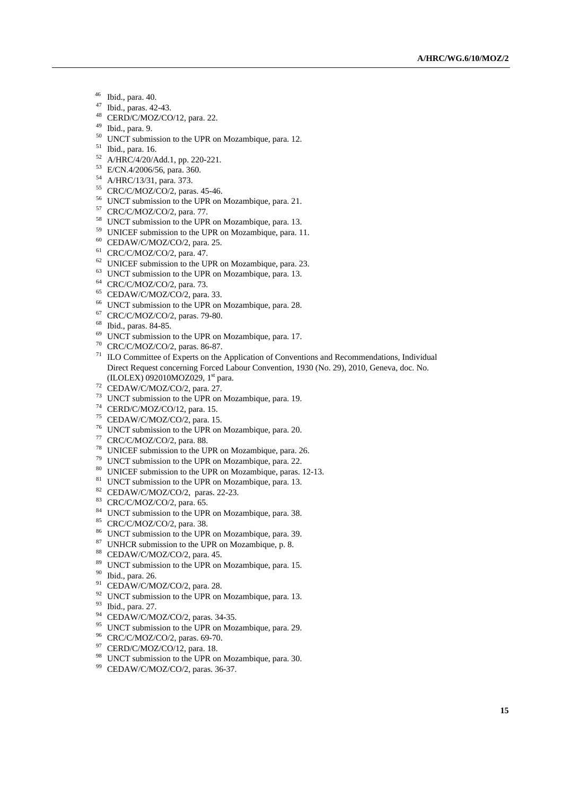- 46 Ibid., para. 40.
- 47 Ibid., paras. 42-43.
- 48 CERD/C/MOZ/CO/12, para. 22.
- 49 Ibid., para. 9.
- <sup>50</sup> UNCT submission to the UPR on Mozambique, para. 12.
- 51 Ibid., para. 16.
- $^{52}$  A/HRC/4/20/Add.1, pp. 220-221.
- 53 E/CN.4/2006/56, para. 360.
- 54 A/HRC/13/31, para. 373.
- 55 CRC/C/MOZ/CO/2, paras. 45-46.
- 56 UNCT submission to the UPR on Mozambique, para. 21.
- 57 CRC/C/MOZ/CO/2, para. 77.
- 58 UNCT submission to the UPR on Mozambique, para. 13.
- <sup>59</sup> UNICEF submission to the UPR on Mozambique, para. 11.<br><sup>60</sup> CEDAW/C/MOZ/CO/2, para. 25.
- 
- 
- <sup>61</sup> CRC/C/MOZ/CO/2, para. 47.<br><sup>62</sup> UNICEF submission to the UPR on Mozambique, para. 23.
- $63$  UNCT submission to the UPR on Mozambique, para. 13.
- 64 CRC/C/MOZ/CO/2, para. 73.
- $65$  CEDAW/C/MOZ/CO/2, para. 33.
- 66 UNCT submission to the UPR on Mozambique, para. 28.
- 67 CRC/C/MOZ/CO/2, paras. 79-80.
- 68 Ibid., paras. 84-85.
- 69 UNCT submission to the UPR on Mozambique, para. 17.
- 70 CRC/C/MOZ/CO/2, paras. 86-87.
- $71$  ILO Committee of Experts on the Application of Conventions and Recommendations, Individual Direct Request concerning Forced Labour Convention, 1930 (No. 29), 2010, Geneva, doc. No. (ILOLEX) 092010MOZ029, 1<sup>st</sup> para.<br><sup>72</sup> CEDAW/C/MOZ/CO/2, para. 27.
- 
- 73 UNCT submission to the UPR on Mozambique, para. 19.
- 74 CERD/C/MOZ/CO/12, para. 15.
- 75 CEDAW/C/MOZ/CO/2, para. 15.
- 76 UNCT submission to the UPR on Mozambique, para. 20.
- 
- $77$  CRC/C/MOZ/CO/2, para. 88.<br> $78$  UNICEF submission to the UPR on Mozambique, para. 26.
- $79$  UNCT submission to the UPR on Mozambique, para. 22.
- <sup>80</sup> UNICEF submission to the UPR on Mozambique, paras. 12-13.<br><sup>81</sup> UNCT submission to the UPR on Mozambique, para. 13.
- 
- 82 CEDAW/C/MOZ/CO/2, paras. 22-23.
- 83 CRC/C/MOZ/CO/2, para. 65.
- <sup>84</sup> UNCT submission to the UPR on Mozambique, para. 38.
- 85 CRC/C/MOZ/CO/2, para. 38.
- 86 UNCT submission to the UPR on Mozambique, para. 39.
- <sup>87</sup> UNHCR submission to the UPR on Mozambique, p. 8.
- 88 CEDAW/C/MOZ/CO/2, para. 45.
- <sup>89</sup> UNCT submission to the UPR on Mozambique, para. 15.
- 90 Ibid., para. 26.
- <sup>91</sup> CEDAW/C/MOZ/CO/2, para. 28.
- $92$  UNCT submission to the UPR on Mozambique, para. 13.
- 93 Ibid., para. 27.
- 94 CEDAW/C/MOZ/CO/2, paras. 34-35.
- <sup>95</sup> UNCT submission to the UPR on Mozambique, para. 29.
- 96 CRC/C/MOZ/CO/2, paras. 69-70.
- $97$  CERD/C/MOZ/CO/12, para. 18.
- 98 UNCT submission to the UPR on Mozambique, para. 30.
- 99 CEDAW/C/MOZ/CO/2, paras. 36-37.